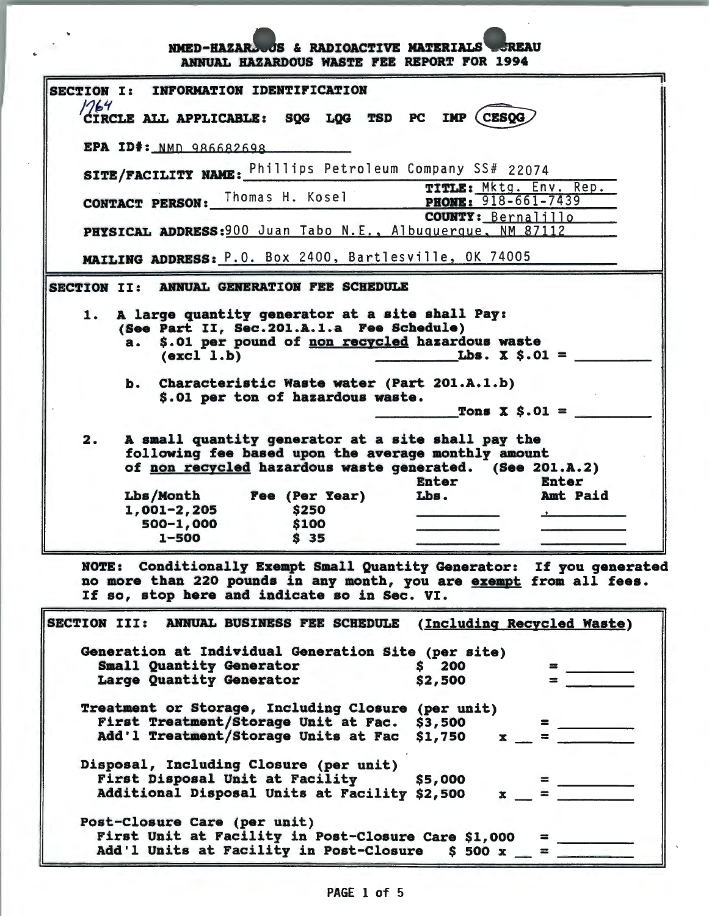NMED-HAZAR JS & RADIOACTIVE MATERIALS SREAU ARllUAL HAZARDOUS WASTE FEE REPORT FOR 1994

| 1764 | CIRCLE ALL APPLICABLE: SQG LQG TSD PC IMP (CESQG                                                                                                                                                             |
|------|--------------------------------------------------------------------------------------------------------------------------------------------------------------------------------------------------------------|
|      | EPA ID#: NMD 986682698                                                                                                                                                                                       |
|      | SITE/FACILITY NAME: Phillips Petroleum Company SS# 22074                                                                                                                                                     |
|      | TITLE: Mktg. Env. Rep.<br><b>CONTACT PERSON:</b> Thomas H. Kosel PHONE: 918-661-7439                                                                                                                         |
|      | COUNTY: Bernalillo                                                                                                                                                                                           |
|      | PHYSICAL ADDRESS: 900 Juan Tabo N.E., Albuquerque, NM 87112                                                                                                                                                  |
|      | MAILING ADDRESS: P.O. Box 2400, Bartlesville, OK 74005                                                                                                                                                       |
|      | ANNUAL GENERATION FEE SCHEDULE<br><b>SECTION II:</b>                                                                                                                                                         |
|      | (See Part II, Sec. 201.A.1.a Fee Schedule)<br>$a_{\bullet}$                                                                                                                                                  |
|      | \$.01 per pound of non recycled hazardous waste<br>Lbs. $X$ $S.01$ =<br>$\text{(excl 1.b)}$<br>b. Characteristic Waste water (Part 201.A.1.b)<br>\$.01 per ton of hazardous waste.<br>Tons $\bar{x}$ \$.01 = |
| 2.   | A small quantity generator at a site shall pay the<br>following fee based upon the average monthly amount<br>of non recycled hazardous waste generated. (See 201.A.2)<br><b>Enter</b><br>Enter               |
|      | Lbs/Month Fee (Per Year)<br>Lbs.<br><b>Amt Paid</b>                                                                                                                                                          |
|      | $1,001-2,205$<br>\$250                                                                                                                                                                                       |
|      | 500-1,000<br>\$100<br>$1 - 500$<br>S <sub>35</sub>                                                                                                                                                           |

| Generation at Individual Generation Site (per site)<br>Small Quantity Generator | \$200      | $=$     |
|---------------------------------------------------------------------------------|------------|---------|
| Large Quantity Generator                                                        | \$2,500    |         |
| Treatment or Storage, Including Closure                                         | (per unit) |         |
| First Treatment/Storage Unit at Fac. \$3,500                                    |            | =       |
| Add'l Treatment/Storage Units at Fac \$1,750                                    |            |         |
| Disposal, Including Closure (per unit)                                          |            |         |
| First Disposal Unit at Facility                                                 | \$5,000    | $=$ $-$ |
| Additional Disposal Units at Facility \$2,500                                   |            |         |
| Post-Closure Care (per unit)                                                    |            |         |
| First Unit at Facility in Post-Closure Care \$1,000                             |            |         |
| Add'l Units at Facility in Post-Closure \$ 500 x                                |            |         |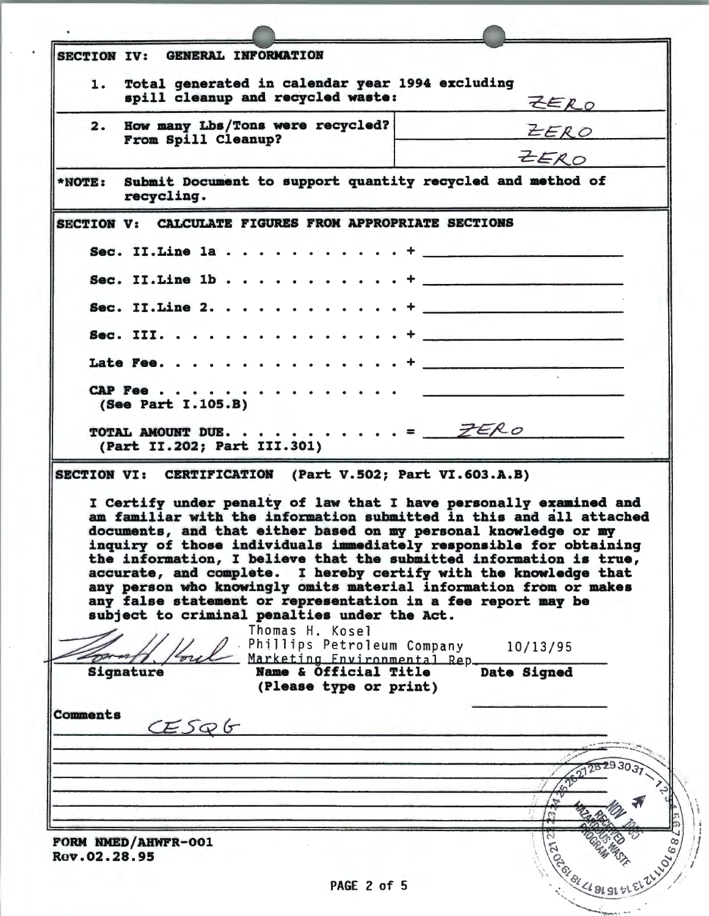| SECTION IV: GENERAL INFORMATION                                                                                                                                                                                                                                                                                                                                                                                                                                                         |                                                                                                                                                                                                                                                                                                                                                                                                                                                                                    |
|-----------------------------------------------------------------------------------------------------------------------------------------------------------------------------------------------------------------------------------------------------------------------------------------------------------------------------------------------------------------------------------------------------------------------------------------------------------------------------------------|------------------------------------------------------------------------------------------------------------------------------------------------------------------------------------------------------------------------------------------------------------------------------------------------------------------------------------------------------------------------------------------------------------------------------------------------------------------------------------|
| Total generated in calendar year 1994 excluding<br>1.                                                                                                                                                                                                                                                                                                                                                                                                                                   |                                                                                                                                                                                                                                                                                                                                                                                                                                                                                    |
| spill cleanup and recycled waste:                                                                                                                                                                                                                                                                                                                                                                                                                                                       | LERO                                                                                                                                                                                                                                                                                                                                                                                                                                                                               |
| How many Lbs/Tons were recycled?<br>2.                                                                                                                                                                                                                                                                                                                                                                                                                                                  |                                                                                                                                                                                                                                                                                                                                                                                                                                                                                    |
| From Spill Cleanup?                                                                                                                                                                                                                                                                                                                                                                                                                                                                     | ZERO                                                                                                                                                                                                                                                                                                                                                                                                                                                                               |
|                                                                                                                                                                                                                                                                                                                                                                                                                                                                                         | ZERO                                                                                                                                                                                                                                                                                                                                                                                                                                                                               |
| Submit Document to support quantity recycled and method of<br>$*NOTE$ :<br>recycling.                                                                                                                                                                                                                                                                                                                                                                                                   |                                                                                                                                                                                                                                                                                                                                                                                                                                                                                    |
| SECTION V: CALCULATE FIGURES FROM APPROPRIATE SECTIONS                                                                                                                                                                                                                                                                                                                                                                                                                                  |                                                                                                                                                                                                                                                                                                                                                                                                                                                                                    |
|                                                                                                                                                                                                                                                                                                                                                                                                                                                                                         |                                                                                                                                                                                                                                                                                                                                                                                                                                                                                    |
| Sec. II. Line $1b \cdot \cdot \cdot \cdot \cdot \cdot \cdot$                                                                                                                                                                                                                                                                                                                                                                                                                            |                                                                                                                                                                                                                                                                                                                                                                                                                                                                                    |
| Sec. II. Line 2.                                                                                                                                                                                                                                                                                                                                                                                                                                                                        | $\begin{tabular}{lllllllllllllllllll} \multicolumn{2}{l}{} & \multicolumn{2}{l}{} & \multicolumn{2}{l}{} & \multicolumn{2}{l}{} & \multicolumn{2}{l}{} & \multicolumn{2}{l}{} & \multicolumn{2}{l}{} & \multicolumn{2}{l}{} & \multicolumn{2}{l}{} & \multicolumn{2}{l}{} & \multicolumn{2}{l}{} & \multicolumn{2}{l}{} & \multicolumn{2}{l}{} & \multicolumn{2}{l}{} & \multicolumn{2}{l}{} & \multicolumn{2}{l}{} & \multicolumn{2}{l}{} & \multicolumn{2}{l}{} & \multicolumn{$ |
|                                                                                                                                                                                                                                                                                                                                                                                                                                                                                         |                                                                                                                                                                                                                                                                                                                                                                                                                                                                                    |
|                                                                                                                                                                                                                                                                                                                                                                                                                                                                                         |                                                                                                                                                                                                                                                                                                                                                                                                                                                                                    |
| CAP Fee                                                                                                                                                                                                                                                                                                                                                                                                                                                                                 |                                                                                                                                                                                                                                                                                                                                                                                                                                                                                    |
| (See Part I.105.B)                                                                                                                                                                                                                                                                                                                                                                                                                                                                      |                                                                                                                                                                                                                                                                                                                                                                                                                                                                                    |
| TOTAL AMOUNT DUE. = $ZERO$                                                                                                                                                                                                                                                                                                                                                                                                                                                              |                                                                                                                                                                                                                                                                                                                                                                                                                                                                                    |
| (Part II.202; Part III.301)<br>I Certify under penalty of law that I have personally examined and<br>am familiar with the information submitted in this and all attached                                                                                                                                                                                                                                                                                                                |                                                                                                                                                                                                                                                                                                                                                                                                                                                                                    |
| documents, and that either based on my personal knowledge or my<br>inquiry of those individuals immediately responsible for obtaining<br>the information, I believe that the submitted information is true,<br>accurate, and complete. I hereby certify with the knowledge that<br>any person who knowingly omits material information from or makes<br>any false statement or representation in a fee report may be<br>subject to criminal penalties under the Act.<br>Thomas H. Kosel |                                                                                                                                                                                                                                                                                                                                                                                                                                                                                    |
|                                                                                                                                                                                                                                                                                                                                                                                                                                                                                         | Phillips Petroleum Company 10/13/95                                                                                                                                                                                                                                                                                                                                                                                                                                                |
| Marketing Environmental Rep.<br>Name & Official Title<br>Signature                                                                                                                                                                                                                                                                                                                                                                                                                      | Date Signed                                                                                                                                                                                                                                                                                                                                                                                                                                                                        |
| (Please type or print)                                                                                                                                                                                                                                                                                                                                                                                                                                                                  |                                                                                                                                                                                                                                                                                                                                                                                                                                                                                    |
|                                                                                                                                                                                                                                                                                                                                                                                                                                                                                         |                                                                                                                                                                                                                                                                                                                                                                                                                                                                                    |
| CESQG                                                                                                                                                                                                                                                                                                                                                                                                                                                                                   |                                                                                                                                                                                                                                                                                                                                                                                                                                                                                    |
|                                                                                                                                                                                                                                                                                                                                                                                                                                                                                         |                                                                                                                                                                                                                                                                                                                                                                                                                                                                                    |
|                                                                                                                                                                                                                                                                                                                                                                                                                                                                                         |                                                                                                                                                                                                                                                                                                                                                                                                                                                                                    |
|                                                                                                                                                                                                                                                                                                                                                                                                                                                                                         |                                                                                                                                                                                                                                                                                                                                                                                                                                                                                    |
|                                                                                                                                                                                                                                                                                                                                                                                                                                                                                         |                                                                                                                                                                                                                                                                                                                                                                                                                                                                                    |
|                                                                                                                                                                                                                                                                                                                                                                                                                                                                                         |                                                                                                                                                                                                                                                                                                                                                                                                                                                                                    |
| SECTION VI: CERTIFICATION (Part V.502; Part VI.603.A.B)<br>Comments<br>FORM NMED/AHWFR-001<br>Rev.02.28.95                                                                                                                                                                                                                                                                                                                                                                              |                                                                                                                                                                                                                                                                                                                                                                                                                                                                                    |

ķ.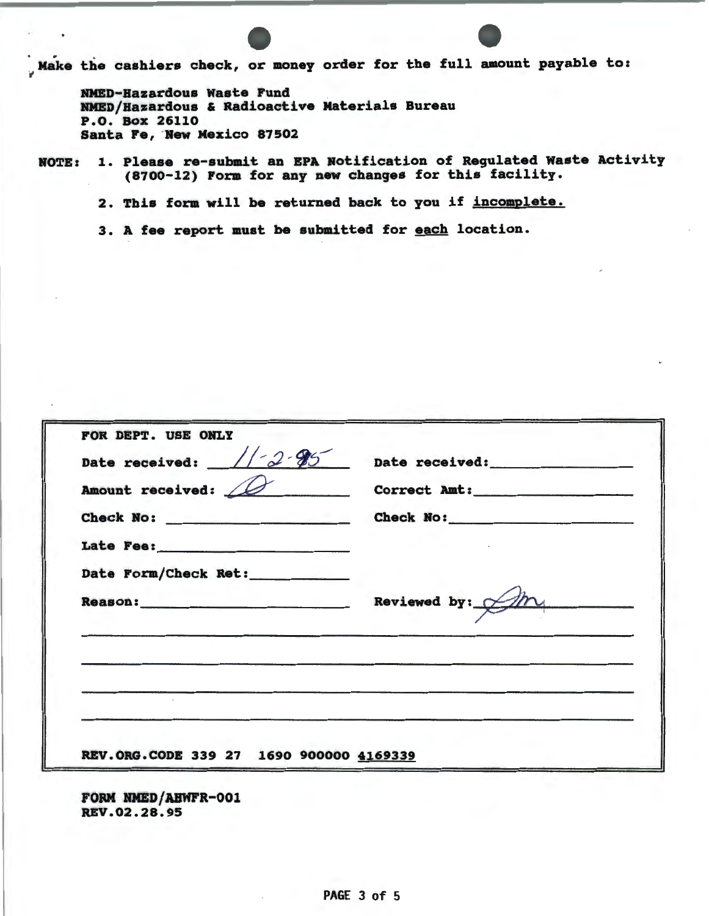Make the cashiers check, or money order for the full amount payable to:

RHED-Hazardous waste Fund RHED/Hazardous & Radioactive Materials Bureau P.O. Box 26110 Santa Fe, Hew Mexico 87502

ROTE: 1. Please re-submit an EPA Notification of Regulated waste Activity (8700-12) Form for any new changes for this facility.

2. This form will be returned back to you if incomplete.

3. A fee report must be submitted for each location.

| Date received: $// 2.95$ | Date received:                      |
|--------------------------|-------------------------------------|
| Amount received: 10      | Correct Amt:                        |
|                          | Check No:                           |
|                          |                                     |
| Date Form/Check Ret:     |                                     |
|                          | Reviewed by: $\cancel{\mathscr{D}}$ |
|                          |                                     |
|                          |                                     |
|                          |                                     |
|                          |                                     |
|                          |                                     |

FORM HMED/ABWFR-001 REV.02.28.95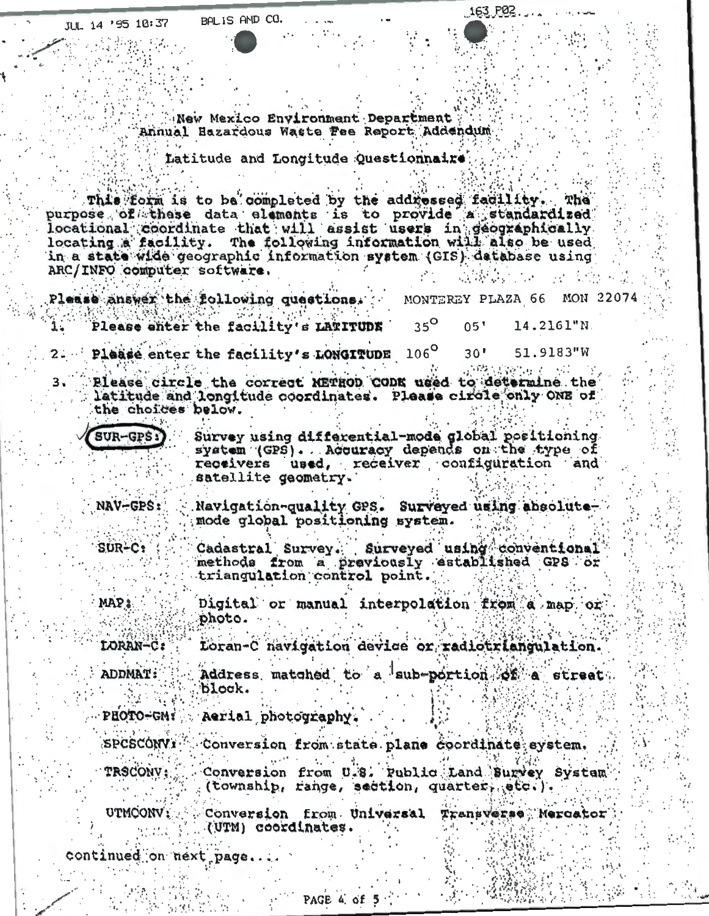New Mexico Environment Department Annual Bazardous Waste Fee Report Addendum

Latitude and Longitude Questionnaire

This form is to be completed by the addressed facility. The purpose of these data elements is to provide a standardized locational coordinate that will essist users in geographically locating a facility. The following information will also be used in a state wide geographic information system (GIS) database using ARC/INFO computer software.

Please answer the following quastions. MON 2207 MONTEREY PLAZA 66  $35^\circ$ Please enter the facility's LATITUDE  $05'$ 14.2161"N. Please enter the facility's LONGITUDE 106°  $30'$ 51.9183"W 网络主要管理 Please circle the correct METHOD CODE used to determine the latitude and longitude coordinates. Please circle only ONE of the choices below.

SUR-GPS:

 $SUR-C$ :

Survey using differential-mode global positioning system (GPS). Accuracy depends on the type of used, receiver configuration and receivers satellite geometry.

163 P02

NAV-GPS: Navigation-quality GPS. Surveyed using absolutemode global positioning system.

> Cadastral Survey. Surveyed using conventional methods from a previously established GPS or triangulation control point.

MAP: Digital or manual interpolation from a map or photo.

LORAN-C: Loran-C navigation device or radiotriangulation.

Address matched to a sub-portion of a street. **ADDMAT:** block.

PHOTO-GM: Aerial photography.

**SPCSCONVI** Conversion from state plane coordinate system. Conversion from U.S. Public Land Survey System TRSCONV: (township, range, section, quarter, etc.).

UTMCONV: Conversion from Universal Transverse Mercator (UTM) coordinates.

continued on next page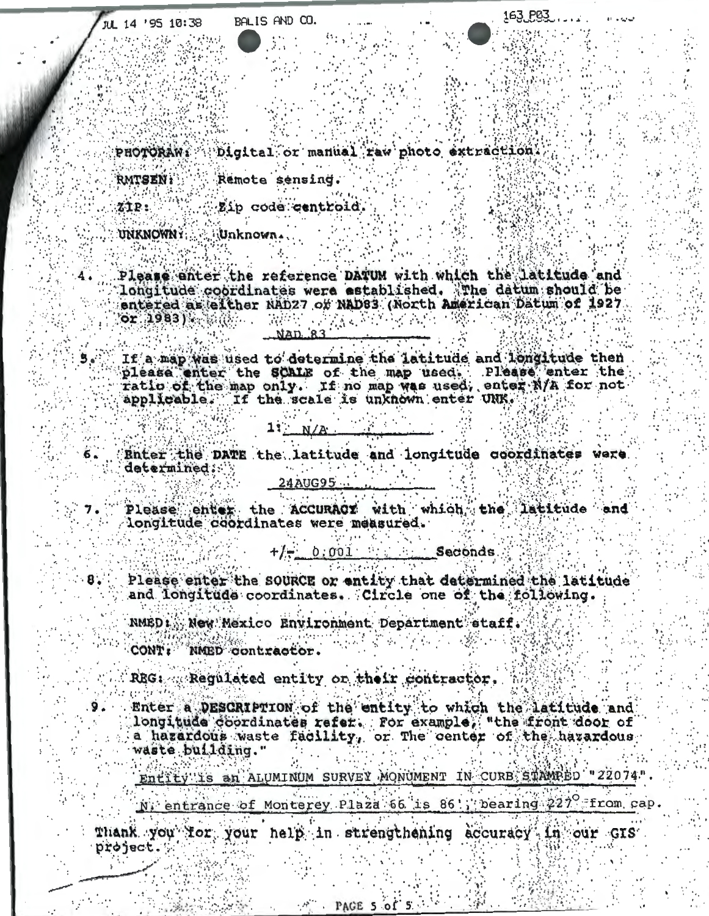Digital or manual raw photo extraction. PHOTORAW:

**RMTSEN:** Remote sensing.

Zip code centroid.

Unknown. UNKNOWN I

ZIP:

 $8.5$ 

9.

Please enter the reference DATUM with which the latitude and longitude coordinates were established. The datum should be entered as either NAD27 or NAD83 (North American Datum of 1927)  $or$  1983)  $\sim$  10. 法意义 经制

If a map was used to determine the latitude and longitude then please enter the SCALE of the map used. Please enter the ratio of the map only. If no map was used, enter N/A for not applicable. If the scale is unknown enter UNK.

> 1:  $N/A$

Enter the DATE the latitude and longitude coordinates were 6. determined:

24AUG95 ...

Please enter the ACCURACY with which the latitude and longitude coordinates were measured.

> 0.001 Seconds  $+/-$

Please enter the SOURCE or entity that determined the latitude and longitude coordinates. Circle one of the following.

NMED: New Mexico Environment Department staff.

CONT: NMED contractor.

REG: Regulated entity on their contractor.

Enter a DESCRIPTION of the entity to which the latitude and longitude coordinates refer. For example, "the front door of a hazardous waste facility, or The center of the hazardous waste building."

Entity is an ALUMINUM SURVEY MONUMENT IN CURB STAMPED "22074" N. entrance of Monterey Plaza 66 is 86'; bearing 227° from cap.

PAGE 5 of 5

Thank you for your help in strengthening accuracy in our GIS project.